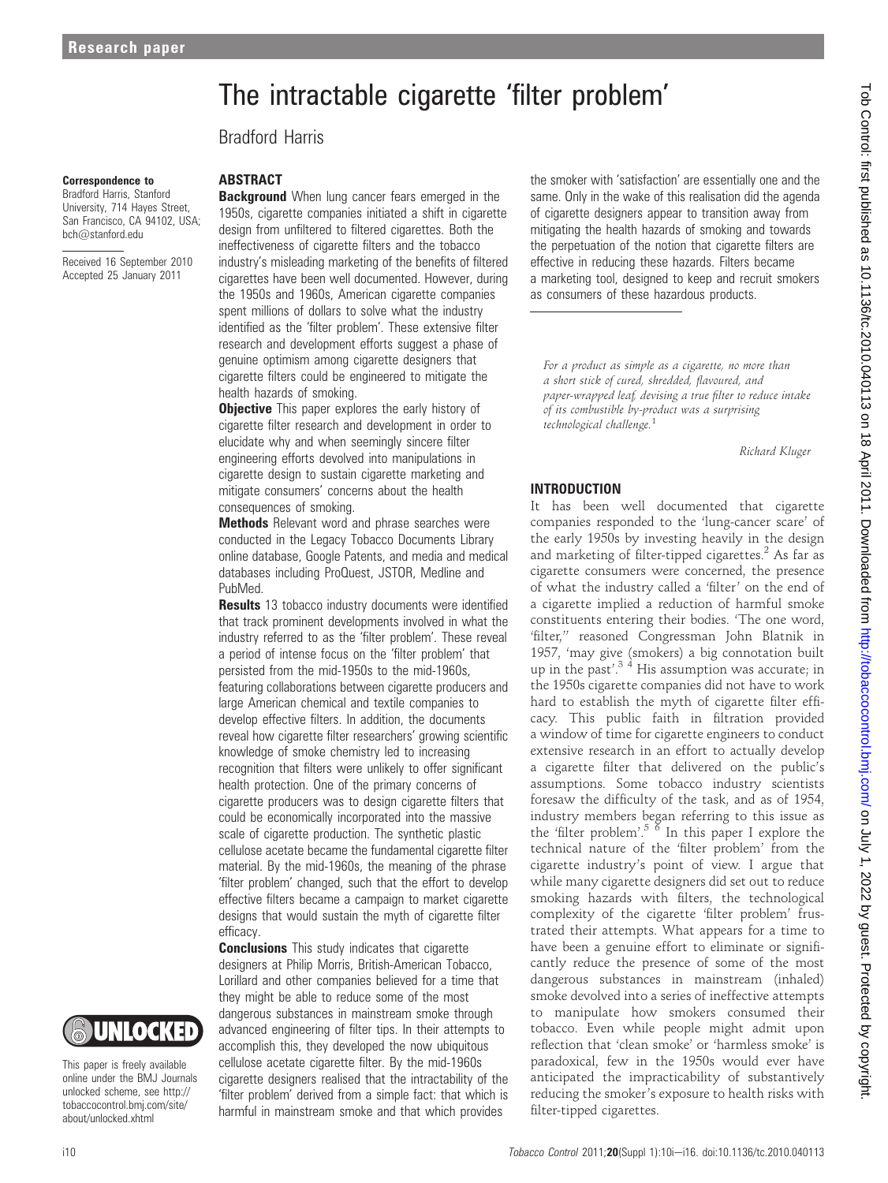# The intractable cigarette 'filter problem'

Bradford Harris

#### Correspondence to

Bradford Harris, Stanford University, 714 Hayes Street, San Francisco, CA 94102, USA; bch@stanford.edu

Received 16 September 2010 Accepted 25 January 2011



This paper is freely available online under the BMJ Journals unlocked scheme, see http:// tobaccocontrol.bmj.com/site/ about/unlocked.xhtml

### ABSTRACT

**Background** When lung cancer fears emerged in the 1950s, cigarette companies initiated a shift in cigarette design from unfiltered to filtered cigarettes. Both the ineffectiveness of cigarette filters and the tobacco industry's misleading marketing of the benefits of filtered cigarettes have been well documented. However, during the 1950s and 1960s, American cigarette companies spent millions of dollars to solve what the industry identified as the 'filter problem'. These extensive filter research and development efforts suggest a phase of genuine optimism among cigarette designers that cigarette filters could be engineered to mitigate the health hazards of smoking.

**Objective** This paper explores the early history of cigarette filter research and development in order to elucidate why and when seemingly sincere filter engineering efforts devolved into manipulations in cigarette design to sustain cigarette marketing and mitigate consumers' concerns about the health consequences of smoking.

**Methods** Relevant word and phrase searches were conducted in the Legacy Tobacco Documents Library online database, Google Patents, and media and medical databases including ProQuest, JSTOR, Medline and PubMed.

**Results** 13 tobacco industry documents were identified that track prominent developments involved in what the industry referred to as the 'filter problem'. These reveal a period of intense focus on the 'filter problem' that persisted from the mid-1950s to the mid-1960s, featuring collaborations between cigarette producers and large American chemical and textile companies to develop effective filters. In addition, the documents reveal how cigarette filter researchers' growing scientific knowledge of smoke chemistry led to increasing recognition that filters were unlikely to offer significant health protection. One of the primary concerns of cigarette producers was to design cigarette filters that could be economically incorporated into the massive scale of cigarette production. The synthetic plastic cellulose acetate became the fundamental cigarette filter material. By the mid-1960s, the meaning of the phrase 'filter problem' changed, such that the effort to develop effective filters became a campaign to market cigarette designs that would sustain the myth of cigarette filter efficacy.

**Conclusions** This study indicates that cigarette designers at Philip Morris, British-American Tobacco, Lorillard and other companies believed for a time that they might be able to reduce some of the most dangerous substances in mainstream smoke through advanced engineering of filter tips. In their attempts to accomplish this, they developed the now ubiquitous cellulose acetate cigarette filter. By the mid-1960s cigarette designers realised that the intractability of the 'filter problem' derived from a simple fact: that which is harmful in mainstream smoke and that which provides

the smoker with 'satisfaction' are essentially one and the same. Only in the wake of this realisation did the agenda of cigarette designers appear to transition away from mitigating the health hazards of smoking and towards the perpetuation of the notion that cigarette filters are effective in reducing these hazards. Filters became a marketing tool, designed to keep and recruit smokers as consumers of these hazardous products.

For a product as simple as a cigarette, no more than a short stick of cured, shredded, flavoured, and paper-wrapped leaf, devising a true filter to reduce intake of its combustible by-product was a surprising technological challenge.<sup>1</sup>

Richard Kluger

# INTRODUCTION

It has been well documented that cigarette companies responded to the 'lung-cancer scare' of the early 1950s by investing heavily in the design and marketing of filter-tipped cigarettes. $2$  As far as cigarette consumers were concerned, the presence of what the industry called a 'filter' on the end of a cigarette implied a reduction of harmful smoke constituents entering their bodies. 'The one word, 'filter,'' reasoned Congressman John Blatnik in 1957, 'may give (smokers) a big connotation built up in the past'.<sup>34</sup> His assumption was accurate; in the 1950s cigarette companies did not have to work hard to establish the myth of cigarette filter efficacy. This public faith in filtration provided a window of time for cigarette engineers to conduct extensive research in an effort to actually develop a cigarette filter that delivered on the public's assumptions. Some tobacco industry scientists foresaw the difficulty of the task, and as of 1954, industry members began referring to this issue as the 'filter problem'.<sup>5</sup>  $\delta$  In this paper I explore the technical nature of the 'filter problem' from the cigarette industry's point of view. I argue that while many cigarette designers did set out to reduce smoking hazards with filters, the technological complexity of the cigarette 'filter problem' frustrated their attempts. What appears for a time to have been a genuine effort to eliminate or significantly reduce the presence of some of the most dangerous substances in mainstream (inhaled) smoke devolved into a series of ineffective attempts to manipulate how smokers consumed their tobacco. Even while people might admit upon reflection that 'clean smoke' or 'harmless smoke' is paradoxical, few in the 1950s would ever have anticipated the impracticability of substantively reducing the smoker's exposure to health risks with filter-tipped cigarettes.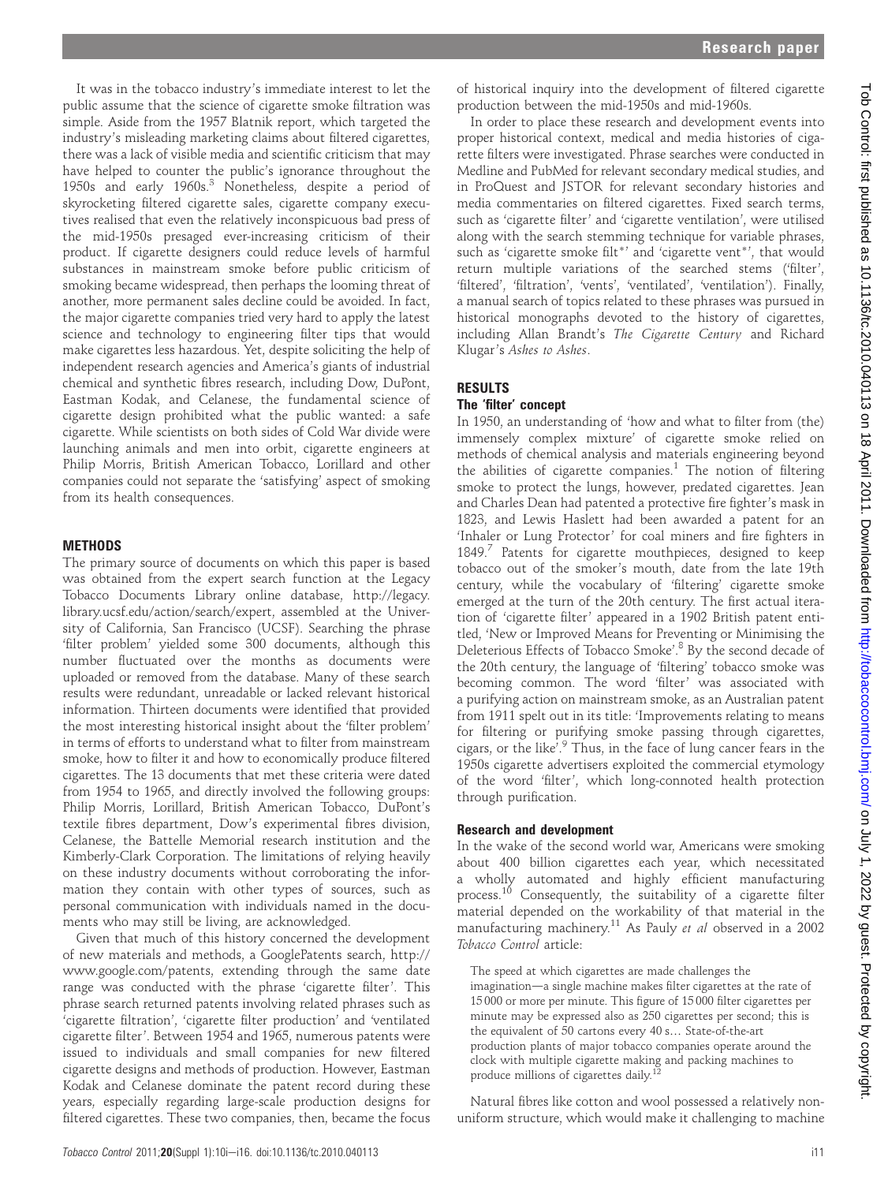It was in the tobacco industry's immediate interest to let the public assume that the science of cigarette smoke filtration was simple. Aside from the 1957 Blatnik report, which targeted the industry's misleading marketing claims about filtered cigarettes, there was a lack of visible media and scientific criticism that may have helped to counter the public's ignorance throughout the 1950s and early 1960s.<sup>3</sup> Nonetheless, despite a period of skyrocketing filtered cigarette sales, cigarette company executives realised that even the relatively inconspicuous bad press of the mid-1950s presaged ever-increasing criticism of their product. If cigarette designers could reduce levels of harmful substances in mainstream smoke before public criticism of smoking became widespread, then perhaps the looming threat of another, more permanent sales decline could be avoided. In fact, the major cigarette companies tried very hard to apply the latest science and technology to engineering filter tips that would make cigarettes less hazardous. Yet, despite soliciting the help of independent research agencies and America's giants of industrial chemical and synthetic fibres research, including Dow, DuPont, Eastman Kodak, and Celanese, the fundamental science of cigarette design prohibited what the public wanted: a safe cigarette. While scientists on both sides of Cold War divide were launching animals and men into orbit, cigarette engineers at Philip Morris, British American Tobacco, Lorillard and other companies could not separate the 'satisfying' aspect of smoking from its health consequences.

### **METHODS**

The primary source of documents on which this paper is based was obtained from the expert search function at the Legacy Tobacco Documents Library online database, http://legacy. library.ucsf.edu/action/search/expert, assembled at the University of California, San Francisco (UCSF). Searching the phrase 'filter problem' yielded some 300 documents, although this number fluctuated over the months as documents were uploaded or removed from the database. Many of these search results were redundant, unreadable or lacked relevant historical information. Thirteen documents were identified that provided the most interesting historical insight about the 'filter problem' in terms of efforts to understand what to filter from mainstream smoke, how to filter it and how to economically produce filtered cigarettes. The 13 documents that met these criteria were dated from 1954 to 1965, and directly involved the following groups: Philip Morris, Lorillard, British American Tobacco, DuPont's textile fibres department, Dow's experimental fibres division, Celanese, the Battelle Memorial research institution and the Kimberly-Clark Corporation. The limitations of relying heavily on these industry documents without corroborating the information they contain with other types of sources, such as personal communication with individuals named in the documents who may still be living, are acknowledged.

Given that much of this history concerned the development of new materials and methods, a GooglePatents search, http:// www.google.com/patents, extending through the same date range was conducted with the phrase 'cigarette filter'. This phrase search returned patents involving related phrases such as 'cigarette filtration', 'cigarette filter production' and 'ventilated cigarette filter'. Between 1954 and 1965, numerous patents were issued to individuals and small companies for new filtered cigarette designs and methods of production. However, Eastman Kodak and Celanese dominate the patent record during these years, especially regarding large-scale production designs for filtered cigarettes. These two companies, then, became the focus of historical inquiry into the development of filtered cigarette production between the mid-1950s and mid-1960s.

In order to place these research and development events into proper historical context, medical and media histories of cigarette filters were investigated. Phrase searches were conducted in Medline and PubMed for relevant secondary medical studies, and in ProQuest and JSTOR for relevant secondary histories and media commentaries on filtered cigarettes. Fixed search terms, such as 'cigarette filter' and 'cigarette ventilation', were utilised along with the search stemming technique for variable phrases, such as 'cigarette smoke filt<sup>\*</sup>' and 'cigarette vent<sup>\*'</sup>, that would return multiple variations of the searched stems ('filter', 'filtered', 'filtration', 'vents', 'ventilated', 'ventilation'). Finally, a manual search of topics related to these phrases was pursued in historical monographs devoted to the history of cigarettes, including Allan Brandt's The Cigarette Century and Richard Klugar's Ashes to Ashes.

# RESULTS

# The 'filter' concept

In 1950, an understanding of 'how and what to filter from (the) immensely complex mixture' of cigarette smoke relied on methods of chemical analysis and materials engineering beyond the abilities of cigarette companies. $1$  The notion of filtering smoke to protect the lungs, however, predated cigarettes. Jean and Charles Dean had patented a protective fire fighter's mask in 1823, and Lewis Haslett had been awarded a patent for an 'Inhaler or Lung Protector' for coal miners and fire fighters in 1849.<sup>7</sup> Patents for cigarette mouthpieces, designed to keep tobacco out of the smoker's mouth, date from the late 19th century, while the vocabulary of 'filtering' cigarette smoke emerged at the turn of the 20th century. The first actual iteration of 'cigarette filter' appeared in a 1902 British patent entitled, 'New or Improved Means for Preventing or Minimising the Deleterious Effects of Tobacco Smoke'. <sup>8</sup> By the second decade of the 20th century, the language of 'filtering' tobacco smoke was becoming common. The word 'filter' was associated with a purifying action on mainstream smoke, as an Australian patent from 1911 spelt out in its title: 'Improvements relating to means for filtering or purifying smoke passing through cigarettes, cigars, or the like'. <sup>9</sup> Thus, in the face of lung cancer fears in the 1950s cigarette advertisers exploited the commercial etymology of the word 'filter', which long-connoted health protection through purification.

#### Research and development

In the wake of the second world war, Americans were smoking about 400 billion cigarettes each year, which necessitated a wholly automated and highly efficient manufacturing process.<sup>10</sup> Consequently, the suitability of a cigarette filter material depended on the workability of that material in the manufacturing machinery.<sup>11</sup> As Pauly et al observed in a 2002 Tobacco Control article:

The speed at which cigarettes are made challenges the imagination-a single machine makes filter cigarettes at the rate of 15 000 or more per minute. This figure of 15 000 filter cigarettes per minute may be expressed also as 250 cigarettes per second; this is the equivalent of 50 cartons every 40 s... State-of-the-art production plants of major tobacco companies operate around the clock with multiple cigarette making and packing machines to produce millions of cigarettes daily.<sup>12</sup>

Natural fibres like cotton and wool possessed a relatively nonuniform structure, which would make it challenging to machine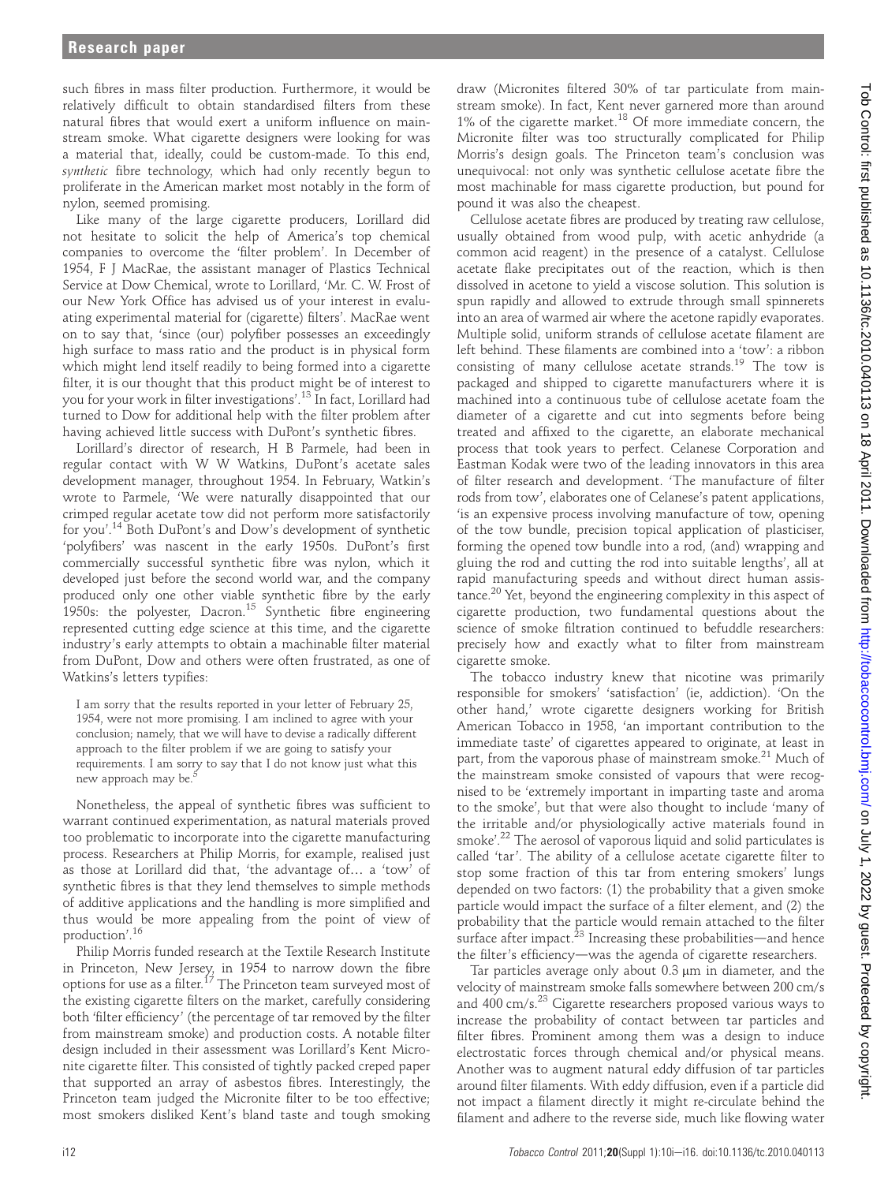such fibres in mass filter production. Furthermore, it would be relatively difficult to obtain standardised filters from these natural fibres that would exert a uniform influence on mainstream smoke. What cigarette designers were looking for was a material that, ideally, could be custom-made. To this end, synthetic fibre technology, which had only recently begun to proliferate in the American market most notably in the form of nylon, seemed promising.

Like many of the large cigarette producers, Lorillard did not hesitate to solicit the help of America's top chemical companies to overcome the 'filter problem'. In December of 1954, F J MacRae, the assistant manager of Plastics Technical Service at Dow Chemical, wrote to Lorillard, 'Mr. C. W. Frost of our New York Office has advised us of your interest in evaluating experimental material for (cigarette) filters'. MacRae went on to say that, 'since (our) polyfiber possesses an exceedingly high surface to mass ratio and the product is in physical form which might lend itself readily to being formed into a cigarette filter, it is our thought that this product might be of interest to you for your work in filter investigations'. <sup>13</sup> In fact, Lorillard had turned to Dow for additional help with the filter problem after having achieved little success with DuPont's synthetic fibres.

Lorillard's director of research, H B Parmele, had been in regular contact with W W Watkins, DuPont's acetate sales development manager, throughout 1954. In February, Watkin's wrote to Parmele, 'We were naturally disappointed that our crimped regular acetate tow did not perform more satisfactorily for you'. <sup>14</sup> Both DuPont's and Dow's development of synthetic 'polyfibers' was nascent in the early 1950s. DuPont's first commercially successful synthetic fibre was nylon, which it developed just before the second world war, and the company produced only one other viable synthetic fibre by the early 1950s: the polyester, Dacron.<sup>15</sup> Synthetic fibre engineering represented cutting edge science at this time, and the cigarette industry's early attempts to obtain a machinable filter material from DuPont, Dow and others were often frustrated, as one of Watkins's letters typifies:

I am sorry that the results reported in your letter of February 25, 1954, were not more promising. I am inclined to agree with your conclusion; namely, that we will have to devise a radically different approach to the filter problem if we are going to satisfy your requirements. I am sorry to say that I do not know just what this new approach may be.<sup>5</sup>

Nonetheless, the appeal of synthetic fibres was sufficient to warrant continued experimentation, as natural materials proved too problematic to incorporate into the cigarette manufacturing process. Researchers at Philip Morris, for example, realised just as those at Lorillard did that, 'the advantage of... a 'tow' of synthetic fibres is that they lend themselves to simple methods of additive applications and the handling is more simplified and thus would be more appealing from the point of view of production'. 16

Philip Morris funded research at the Textile Research Institute in Princeton, New Jersey, in 1954 to narrow down the fibre options for use as a filter.<sup>17</sup> The Princeton team surveyed most of the existing cigarette filters on the market, carefully considering both 'filter efficiency' (the percentage of tar removed by the filter from mainstream smoke) and production costs. A notable filter design included in their assessment was Lorillard's Kent Micronite cigarette filter. This consisted of tightly packed creped paper that supported an array of asbestos fibres. Interestingly, the Princeton team judged the Micronite filter to be too effective; most smokers disliked Kent's bland taste and tough smoking

draw (Micronites filtered 30% of tar particulate from mainstream smoke). In fact, Kent never garnered more than around  $1\%$  of the cigarette market.<sup>18</sup> Of more immediate concern, the Micronite filter was too structurally complicated for Philip Morris's design goals. The Princeton team's conclusion was unequivocal: not only was synthetic cellulose acetate fibre the most machinable for mass cigarette production, but pound for pound it was also the cheapest.

Cellulose acetate fibres are produced by treating raw cellulose, usually obtained from wood pulp, with acetic anhydride (a common acid reagent) in the presence of a catalyst. Cellulose acetate flake precipitates out of the reaction, which is then dissolved in acetone to yield a viscose solution. This solution is spun rapidly and allowed to extrude through small spinnerets into an area of warmed air where the acetone rapidly evaporates. Multiple solid, uniform strands of cellulose acetate filament are left behind. These filaments are combined into a 'tow': a ribbon consisting of many cellulose acetate strands.<sup>19</sup> The tow is packaged and shipped to cigarette manufacturers where it is machined into a continuous tube of cellulose acetate foam the diameter of a cigarette and cut into segments before being treated and affixed to the cigarette, an elaborate mechanical process that took years to perfect. Celanese Corporation and Eastman Kodak were two of the leading innovators in this area of filter research and development. 'The manufacture of filter rods from tow', elaborates one of Celanese's patent applications, 'is an expensive process involving manufacture of tow, opening of the tow bundle, precision topical application of plasticiser, forming the opened tow bundle into a rod, (and) wrapping and gluing the rod and cutting the rod into suitable lengths', all at rapid manufacturing speeds and without direct human assistance.<sup>20</sup> Yet, beyond the engineering complexity in this aspect of cigarette production, two fundamental questions about the science of smoke filtration continued to befuddle researchers: precisely how and exactly what to filter from mainstream cigarette smoke.

The tobacco industry knew that nicotine was primarily responsible for smokers' 'satisfaction' (ie, addiction). 'On the other hand,' wrote cigarette designers working for British American Tobacco in 1958, 'an important contribution to the immediate taste' of cigarettes appeared to originate, at least in part, from the vaporous phase of mainstream smoke.<sup>21</sup> Much of the mainstream smoke consisted of vapours that were recognised to be 'extremely important in imparting taste and aroma to the smoke', but that were also thought to include 'many of the irritable and/or physiologically active materials found in smoke'. <sup>22</sup> The aerosol of vaporous liquid and solid particulates is called 'tar'. The ability of a cellulose acetate cigarette filter to stop some fraction of this tar from entering smokers' lungs depended on two factors: (1) the probability that a given smoke particle would impact the surface of a filter element, and (2) the probability that the particle would remain attached to the filter surface after impact. $2^3$  Increasing these probabilities—and hence the filter's efficiency-was the agenda of cigarette researchers.

Tar particles average only about 0.3 µm in diameter, and the velocity of mainstream smoke falls somewhere between 200 cm/s and 400 cm/s.<sup>23</sup> Cigarette researchers proposed various ways to increase the probability of contact between tar particles and filter fibres. Prominent among them was a design to induce electrostatic forces through chemical and/or physical means. Another was to augment natural eddy diffusion of tar particles around filter filaments. With eddy diffusion, even if a particle did not impact a filament directly it might re-circulate behind the filament and adhere to the reverse side, much like flowing water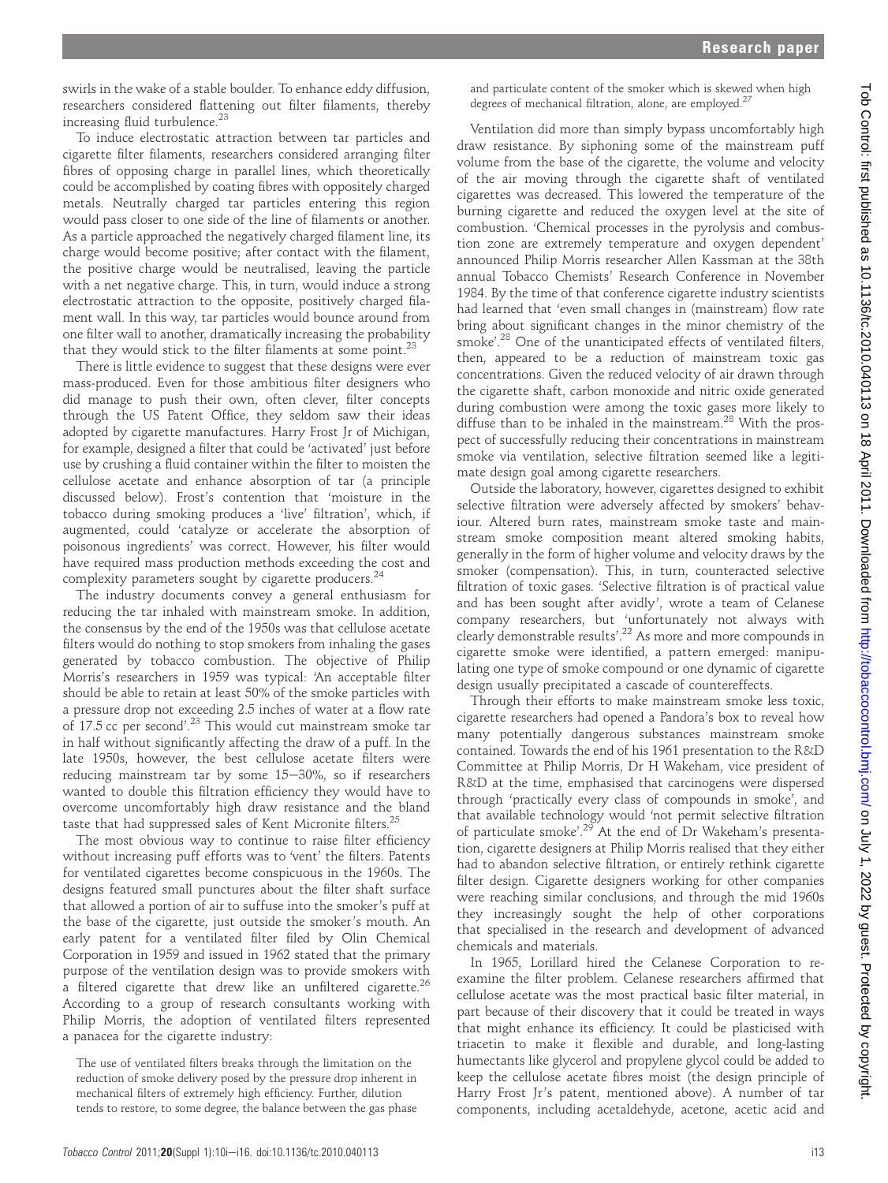swirls in the wake of a stable boulder. To enhance eddy diffusion, researchers considered flattening out filter filaments, thereby increasing fluid turbulence.<sup>23</sup>

To induce electrostatic attraction between tar particles and cigarette filter filaments, researchers considered arranging filter fibres of opposing charge in parallel lines, which theoretically could be accomplished by coating fibres with oppositely charged metals. Neutrally charged tar particles entering this region would pass closer to one side of the line of filaments or another. As a particle approached the negatively charged filament line, its charge would become positive; after contact with the filament, the positive charge would be neutralised, leaving the particle with a net negative charge. This, in turn, would induce a strong electrostatic attraction to the opposite, positively charged filament wall. In this way, tar particles would bounce around from one filter wall to another, dramatically increasing the probability that they would stick to the filter filaments at some point. $^{23}$ 

There is little evidence to suggest that these designs were ever mass-produced. Even for those ambitious filter designers who did manage to push their own, often clever, filter concepts through the US Patent Office, they seldom saw their ideas adopted by cigarette manufactures. Harry Frost Jr of Michigan, for example, designed a filter that could be 'activated' just before use by crushing a fluid container within the filter to moisten the cellulose acetate and enhance absorption of tar (a principle discussed below). Frost's contention that 'moisture in the tobacco during smoking produces a 'live' filtration', which, if augmented, could 'catalyze or accelerate the absorption of poisonous ingredients' was correct. However, his filter would have required mass production methods exceeding the cost and complexity parameters sought by cigarette producers.<sup>24</sup>

The industry documents convey a general enthusiasm for reducing the tar inhaled with mainstream smoke. In addition, the consensus by the end of the 1950s was that cellulose acetate filters would do nothing to stop smokers from inhaling the gases generated by tobacco combustion. The objective of Philip Morris's researchers in 1959 was typical: 'An acceptable filter should be able to retain at least 50% of the smoke particles with a pressure drop not exceeding 2.5 inches of water at a flow rate of 17.5 cc per second'.<sup>23</sup> This would cut mainstream smoke tar in half without significantly affecting the draw of a puff. In the late 1950s, however, the best cellulose acetate filters were reducing mainstream tar by some  $15-30%$ , so if researchers wanted to double this filtration efficiency they would have to overcome uncomfortably high draw resistance and the bland taste that had suppressed sales of Kent Micronite filters.<sup>25</sup>

The most obvious way to continue to raise filter efficiency without increasing puff efforts was to 'vent' the filters. Patents for ventilated cigarettes become conspicuous in the 1960s. The designs featured small punctures about the filter shaft surface that allowed a portion of air to suffuse into the smoker's puff at the base of the cigarette, just outside the smoker's mouth. An early patent for a ventilated filter filed by Olin Chemical Corporation in 1959 and issued in 1962 stated that the primary purpose of the ventilation design was to provide smokers with a filtered cigarette that drew like an unfiltered cigarette.<sup>26</sup> According to a group of research consultants working with Philip Morris, the adoption of ventilated filters represented a panacea for the cigarette industry:

The use of ventilated filters breaks through the limitation on the reduction of smoke delivery posed by the pressure drop inherent in mechanical filters of extremely high efficiency. Further, dilution tends to restore, to some degree, the balance between the gas phase

and particulate content of the smoker which is skewed when high degrees of mechanical filtration, alone, are employed.<sup>2</sup>

Ventilation did more than simply bypass uncomfortably high draw resistance. By siphoning some of the mainstream puff volume from the base of the cigarette, the volume and velocity of the air moving through the cigarette shaft of ventilated cigarettes was decreased. This lowered the temperature of the burning cigarette and reduced the oxygen level at the site of combustion. 'Chemical processes in the pyrolysis and combustion zone are extremely temperature and oxygen dependent' announced Philip Morris researcher Allen Kassman at the 38th annual Tobacco Chemists' Research Conference in November 1984. By the time of that conference cigarette industry scientists had learned that 'even small changes in (mainstream) flow rate bring about significant changes in the minor chemistry of the smoke'. <sup>28</sup> One of the unanticipated effects of ventilated filters, then, appeared to be a reduction of mainstream toxic gas concentrations. Given the reduced velocity of air drawn through the cigarette shaft, carbon monoxide and nitric oxide generated during combustion were among the toxic gases more likely to diffuse than to be inhaled in the mainstream.<sup>28</sup> With the prospect of successfully reducing their concentrations in mainstream smoke via ventilation, selective filtration seemed like a legitimate design goal among cigarette researchers.

Outside the laboratory, however, cigarettes designed to exhibit selective filtration were adversely affected by smokers' behaviour. Altered burn rates, mainstream smoke taste and mainstream smoke composition meant altered smoking habits, generally in the form of higher volume and velocity draws by the smoker (compensation). This, in turn, counteracted selective filtration of toxic gases. 'Selective filtration is of practical value and has been sought after avidly', wrote a team of Celanese company researchers, but 'unfortunately not always with clearly demonstrable results'. <sup>22</sup> As more and more compounds in cigarette smoke were identified, a pattern emerged: manipulating one type of smoke compound or one dynamic of cigarette design usually precipitated a cascade of countereffects.

Through their efforts to make mainstream smoke less toxic, cigarette researchers had opened a Pandora's box to reveal how many potentially dangerous substances mainstream smoke contained. Towards the end of his 1961 presentation to the R&D Committee at Philip Morris, Dr H Wakeham, vice president of R&D at the time, emphasised that carcinogens were dispersed through 'practically every class of compounds in smoke', and that available technology would 'not permit selective filtration of particulate smoke'.<sup>29</sup> At the end of Dr Wakeham's presentation, cigarette designers at Philip Morris realised that they either had to abandon selective filtration, or entirely rethink cigarette filter design. Cigarette designers working for other companies were reaching similar conclusions, and through the mid 1960s they increasingly sought the help of other corporations that specialised in the research and development of advanced chemicals and materials.

In 1965, Lorillard hired the Celanese Corporation to reexamine the filter problem. Celanese researchers affirmed that cellulose acetate was the most practical basic filter material, in part because of their discovery that it could be treated in ways that might enhance its efficiency. It could be plasticised with triacetin to make it flexible and durable, and long-lasting humectants like glycerol and propylene glycol could be added to keep the cellulose acetate fibres moist (the design principle of Harry Frost Jr's patent, mentioned above). A number of tar components, including acetaldehyde, acetone, acetic acid and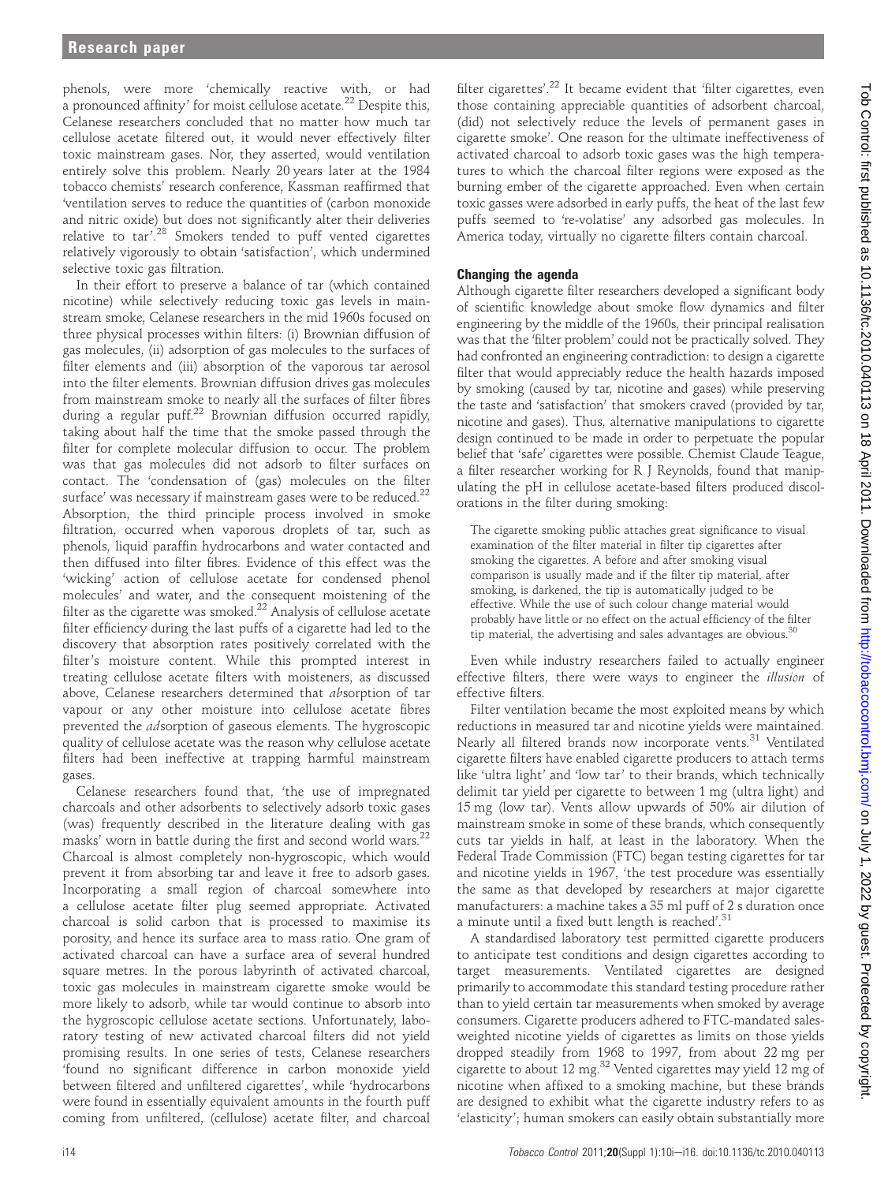phenols, were more 'chemically reactive with, or had a pronounced affinity' for moist cellulose acetate.<sup>22</sup> Despite this, Celanese researchers concluded that no matter how much tar cellulose acetate filtered out, it would never effectively filter toxic mainstream gases. Nor, they asserted, would ventilation entirely solve this problem. Nearly 20 years later at the 1984 tobacco chemists' research conference, Kassman reaffirmed that 'ventilation serves to reduce the quantities of (carbon monoxide and nitric oxide) but does not significantly alter their deliveries relative to tar'.<sup>28</sup> Smokers tended to puff vented cigarettes relatively vigorously to obtain 'satisfaction', which undermined selective toxic gas filtration.

In their effort to preserve a balance of tar (which contained nicotine) while selectively reducing toxic gas levels in mainstream smoke, Celanese researchers in the mid 1960s focused on three physical processes within filters: (i) Brownian diffusion of gas molecules, (ii) adsorption of gas molecules to the surfaces of filter elements and (iii) absorption of the vaporous tar aerosol into the filter elements. Brownian diffusion drives gas molecules from mainstream smoke to nearly all the surfaces of filter fibres during a regular puff.<sup>22</sup> Brownian diffusion occurred rapidly, taking about half the time that the smoke passed through the filter for complete molecular diffusion to occur. The problem was that gas molecules did not adsorb to filter surfaces on contact. The 'condensation of (gas) molecules on the filter surface' was necessary if mainstream gases were to be reduced. $^{22}$ Absorption, the third principle process involved in smoke filtration, occurred when vaporous droplets of tar, such as phenols, liquid paraffin hydrocarbons and water contacted and then diffused into filter fibres. Evidence of this effect was the 'wicking' action of cellulose acetate for condensed phenol molecules' and water, and the consequent moistening of the filter as the cigarette was smoked. $^{22}$  Analysis of cellulose acetate filter efficiency during the last puffs of a cigarette had led to the discovery that absorption rates positively correlated with the filter's moisture content. While this prompted interest in treating cellulose acetate filters with moisteners, as discussed above, Celanese researchers determined that absorption of tar vapour or any other moisture into cellulose acetate fibres prevented the adsorption of gaseous elements. The hygroscopic quality of cellulose acetate was the reason why cellulose acetate filters had been ineffective at trapping harmful mainstream gases.

Celanese researchers found that, 'the use of impregnated charcoals and other adsorbents to selectively adsorb toxic gases (was) frequently described in the literature dealing with gas masks' worn in battle during the first and second world wars.<sup>22</sup> Charcoal is almost completely non-hygroscopic, which would prevent it from absorbing tar and leave it free to adsorb gases. Incorporating a small region of charcoal somewhere into a cellulose acetate filter plug seemed appropriate. Activated charcoal is solid carbon that is processed to maximise its porosity, and hence its surface area to mass ratio. One gram of activated charcoal can have a surface area of several hundred square metres. In the porous labyrinth of activated charcoal, toxic gas molecules in mainstream cigarette smoke would be more likely to adsorb, while tar would continue to absorb into the hygroscopic cellulose acetate sections. Unfortunately, laboratory testing of new activated charcoal filters did not yield promising results. In one series of tests, Celanese researchers 'found no significant difference in carbon monoxide yield between filtered and unfiltered cigarettes', while 'hydrocarbons were found in essentially equivalent amounts in the fourth puff coming from unfiltered, (cellulose) acetate filter, and charcoal

filter cigarettes'. <sup>22</sup> It became evident that 'filter cigarettes, even those containing appreciable quantities of adsorbent charcoal, (did) not selectively reduce the levels of permanent gases in cigarette smoke'. One reason for the ultimate ineffectiveness of activated charcoal to adsorb toxic gases was the high temperatures to which the charcoal filter regions were exposed as the burning ember of the cigarette approached. Even when certain toxic gasses were adsorbed in early puffs, the heat of the last few puffs seemed to 're-volatise' any adsorbed gas molecules. In America today, virtually no cigarette filters contain charcoal.

## Changing the agenda

Although cigarette filter researchers developed a significant body of scientific knowledge about smoke flow dynamics and filter engineering by the middle of the 1960s, their principal realisation was that the 'filter problem' could not be practically solved. They had confronted an engineering contradiction: to design a cigarette filter that would appreciably reduce the health hazards imposed by smoking (caused by tar, nicotine and gases) while preserving the taste and 'satisfaction' that smokers craved (provided by tar, nicotine and gases). Thus, alternative manipulations to cigarette design continued to be made in order to perpetuate the popular belief that 'safe' cigarettes were possible. Chemist Claude Teague, a filter researcher working for R J Reynolds, found that manipulating the pH in cellulose acetate-based filters produced discolorations in the filter during smoking:

The cigarette smoking public attaches great significance to visual examination of the filter material in filter tip cigarettes after smoking the cigarettes. A before and after smoking visual comparison is usually made and if the filter tip material, after smoking, is darkened, the tip is automatically judged to be effective. While the use of such colour change material would probably have little or no effect on the actual efficiency of the filter tip material, the advertising and sales advantages are obvious. $30$ 

Even while industry researchers failed to actually engineer effective filters, there were ways to engineer the *illusion* of effective filters.

Filter ventilation became the most exploited means by which reductions in measured tar and nicotine yields were maintained. Nearly all filtered brands now incorporate vents.<sup>31</sup> Ventilated cigarette filters have enabled cigarette producers to attach terms like 'ultra light' and 'low tar' to their brands, which technically delimit tar yield per cigarette to between 1 mg (ultra light) and 15 mg (low tar). Vents allow upwards of 50% air dilution of mainstream smoke in some of these brands, which consequently cuts tar yields in half, at least in the laboratory. When the Federal Trade Commission (FTC) began testing cigarettes for tar and nicotine yields in 1967, 'the test procedure was essentially the same as that developed by researchers at major cigarette manufacturers: a machine takes a 35 ml puff of 2 s duration once a minute until a fixed butt length is reached'.<sup>31</sup>

A standardised laboratory test permitted cigarette producers to anticipate test conditions and design cigarettes according to target measurements. Ventilated cigarettes are designed primarily to accommodate this standard testing procedure rather than to yield certain tar measurements when smoked by average consumers. Cigarette producers adhered to FTC-mandated salesweighted nicotine yields of cigarettes as limits on those yields dropped steadily from 1968 to 1997, from about 22 mg per cigarette to about 12 mg.<sup>32</sup> Vented cigarettes may yield 12 mg of nicotine when affixed to a smoking machine, but these brands are designed to exhibit what the cigarette industry refers to as 'elasticity'; human smokers can easily obtain substantially more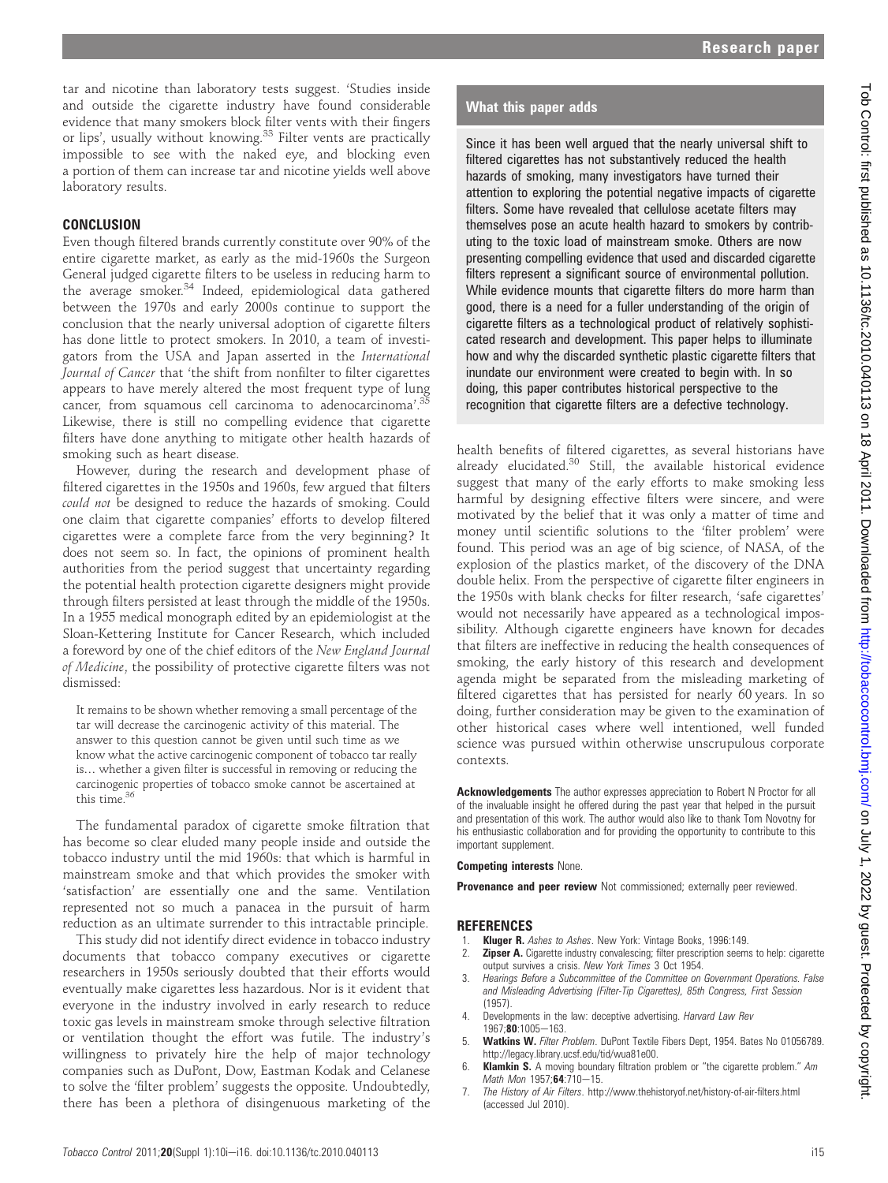tar and nicotine than laboratory tests suggest. 'Studies inside and outside the cigarette industry have found considerable evidence that many smokers block filter vents with their fingers or lips', usually without knowing.<sup>33</sup> Filter vents are practically impossible to see with the naked eye, and blocking even a portion of them can increase tar and nicotine yields well above laboratory results.

# **CONCLUSION**

Even though filtered brands currently constitute over 90% of the entire cigarette market, as early as the mid-1960s the Surgeon General judged cigarette filters to be useless in reducing harm to the average smoker.<sup>34</sup> Indeed, epidemiological data gathered between the 1970s and early 2000s continue to support the conclusion that the nearly universal adoption of cigarette filters has done little to protect smokers. In 2010, a team of investigators from the USA and Japan asserted in the International Journal of Cancer that 'the shift from nonfilter to filter cigarettes appears to have merely altered the most frequent type of lung cancer, from squamous cell carcinoma to adenocarcinoma'. 35 Likewise, there is still no compelling evidence that cigarette filters have done anything to mitigate other health hazards of smoking such as heart disease.

However, during the research and development phase of filtered cigarettes in the 1950s and 1960s, few argued that filters could not be designed to reduce the hazards of smoking. Could one claim that cigarette companies' efforts to develop filtered cigarettes were a complete farce from the very beginning? It does not seem so. In fact, the opinions of prominent health authorities from the period suggest that uncertainty regarding the potential health protection cigarette designers might provide through filters persisted at least through the middle of the 1950s. In a 1955 medical monograph edited by an epidemiologist at the Sloan-Kettering Institute for Cancer Research, which included a foreword by one of the chief editors of the New England Journal of Medicine, the possibility of protective cigarette filters was not dismissed:

It remains to be shown whether removing a small percentage of the tar will decrease the carcinogenic activity of this material. The answer to this question cannot be given until such time as we know what the active carcinogenic component of tobacco tar really is... whether a given filter is successful in removing or reducing the carcinogenic properties of tobacco smoke cannot be ascertained at this time.<sup>3</sup>

The fundamental paradox of cigarette smoke filtration that has become so clear eluded many people inside and outside the tobacco industry until the mid 1960s: that which is harmful in mainstream smoke and that which provides the smoker with 'satisfaction' are essentially one and the same. Ventilation represented not so much a panacea in the pursuit of harm reduction as an ultimate surrender to this intractable principle.

This study did not identify direct evidence in tobacco industry documents that tobacco company executives or cigarette researchers in 1950s seriously doubted that their efforts would eventually make cigarettes less hazardous. Nor is it evident that everyone in the industry involved in early research to reduce toxic gas levels in mainstream smoke through selective filtration or ventilation thought the effort was futile. The industry's willingness to privately hire the help of major technology companies such as DuPont, Dow, Eastman Kodak and Celanese to solve the 'filter problem' suggests the opposite. Undoubtedly, there has been a plethora of disingenuous marketing of the Since it has been well argued that the nearly universal shift to filtered cigarettes has not substantively reduced the health hazards of smoking, many investigators have turned their attention to exploring the potential negative impacts of cigarette filters. Some have revealed that cellulose acetate filters may themselves pose an acute health hazard to smokers by contributing to the toxic load of mainstream smoke. Others are now presenting compelling evidence that used and discarded cigarette filters represent a significant source of environmental pollution. While evidence mounts that cigarette filters do more harm than good, there is a need for a fuller understanding of the origin of cigarette filters as a technological product of relatively sophisticated research and development. This paper helps to illuminate how and why the discarded synthetic plastic cigarette filters that inundate our environment were created to begin with. In so doing, this paper contributes historical perspective to the recognition that cigarette filters are a defective technology.

health benefits of filtered cigarettes, as several historians have already elucidated.<sup>30</sup> Still, the available historical evidence suggest that many of the early efforts to make smoking less harmful by designing effective filters were sincere, and were motivated by the belief that it was only a matter of time and money until scientific solutions to the 'filter problem' were found. This period was an age of big science, of NASA, of the explosion of the plastics market, of the discovery of the DNA double helix. From the perspective of cigarette filter engineers in the 1950s with blank checks for filter research, 'safe cigarettes' would not necessarily have appeared as a technological impossibility. Although cigarette engineers have known for decades that filters are ineffective in reducing the health consequences of smoking, the early history of this research and development agenda might be separated from the misleading marketing of filtered cigarettes that has persisted for nearly 60 years. In so doing, further consideration may be given to the examination of other historical cases where well intentioned, well funded science was pursued within otherwise unscrupulous corporate contexts.

Acknowledgements The author expresses appreciation to Robert N Proctor for all of the invaluable insight he offered during the past year that helped in the pursuit and presentation of this work. The author would also like to thank Tom Novotny for his enthusiastic collaboration and for providing the opportunity to contribute to this important supplement.

Competing interests None.

Provenance and peer review Not commissioned; externally peer reviewed.

# **REFERENCES**

- Kluger R. Ashes to Ashes. New York: Vintage Books, 1996:149.
- Zipser A. Cigarette industry convalescing; filter prescription seems to help: cigarette output survives a crisis. New York Times 3 Oct 1954.
- 3. Hearings Before a Subcommittee of the Committee on Government Operations. False and Misleading Advertising (Filter-Tip Cigarettes), 85th Congress, First Session (1957).
- Developments in the law: deceptive advertising. Harvard Law Rev 1967;80:1005-163.
- 5. Watkins W. Filter Problem. DuPont Textile Fibers Dept, 1954. Bates No 01056789. http://legacy.library.ucsf.edu/tid/wua81e00.
- 6. **Klamkin S.** A moving boundary filtration problem or "the cigarette problem." Am Math Mon 1957;64:710-15.
- 7. The History of Air Filters. http://www.thehistoryof.net/history-of-air-filters.html (accessed Jul 2010).